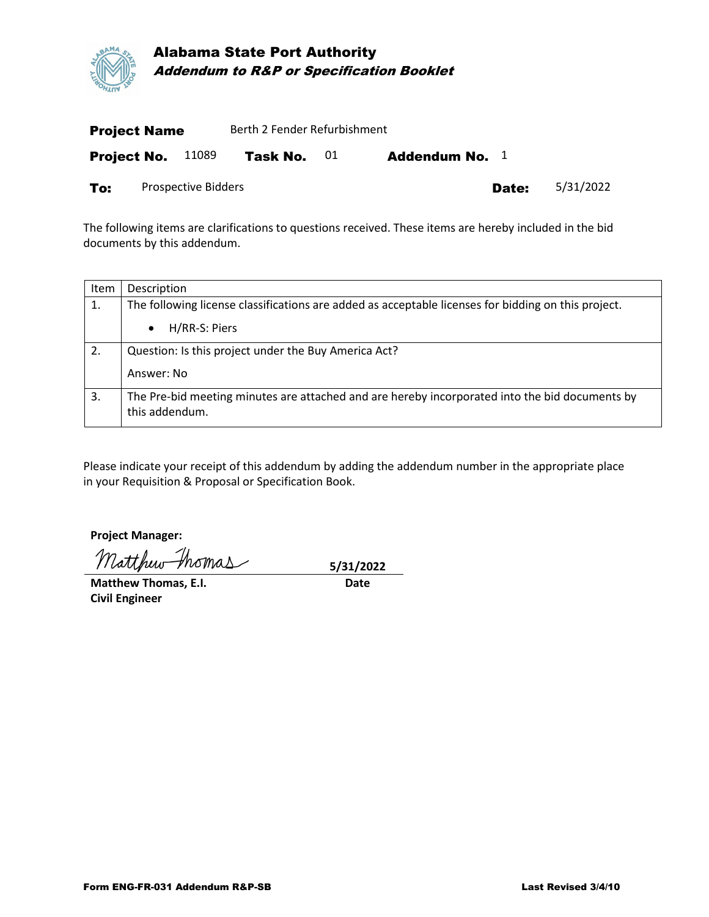

| <b>Project Name</b> |  |                     | Berth 2 Fender Refurbishment |    |                       |           |  |  |
|---------------------|--|---------------------|------------------------------|----|-----------------------|-----------|--|--|
| <b>Project No.</b>  |  | 11089               | Task No.                     | 01 | <b>Addendum No.</b> 1 |           |  |  |
| To:                 |  | Prospective Bidders |                              |    | Date:                 | 5/31/2022 |  |  |

The following items are clarifications to questions received. These items are hereby included in the bid documents by this addendum.

| Item | Description                                                                                                      |  |  |  |  |
|------|------------------------------------------------------------------------------------------------------------------|--|--|--|--|
| 1.   | The following license classifications are added as acceptable licenses for bidding on this project.              |  |  |  |  |
|      | H/RR-S: Piers<br>$\bullet$                                                                                       |  |  |  |  |
| 2.   | Question: Is this project under the Buy America Act?                                                             |  |  |  |  |
|      | Answer: No                                                                                                       |  |  |  |  |
| 3.   | The Pre-bid meeting minutes are attached and are hereby incorporated into the bid documents by<br>this addendum. |  |  |  |  |

Please indicate your receipt of this addendum by adding the addendum number in the appropriate place in your Requisition & Proposal or Specification Book.

**Project Manager:**

Matthew thomas 5/31/2022

**Matthew Thomas, E.I.** Date **Civil Engineer**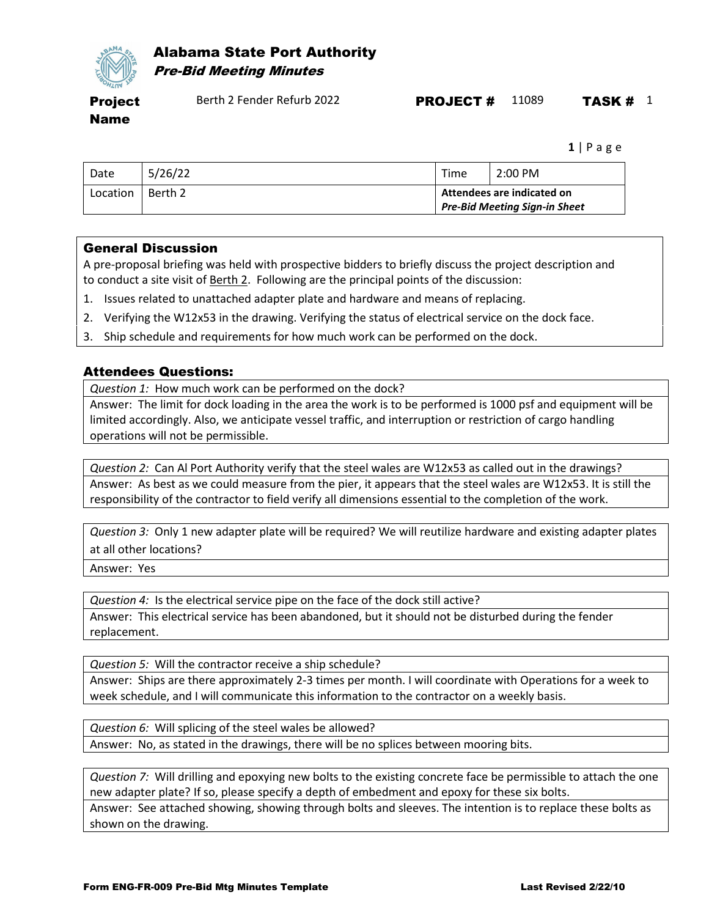

## Alabama State Port Authority Pre-Bid Meeting Minutes

Project Name

**1** | Page

| Date     | 5/26/22 | Time                                                               | 2:00 PM |
|----------|---------|--------------------------------------------------------------------|---------|
| Location | Berth 2 | Attendees are indicated on<br><b>Pre-Bid Meeting Sign-in Sheet</b> |         |

## General Discussion

A pre-proposal briefing was held with prospective bidders to briefly discuss the project description and to conduct a site visit of Berth 2. Following are the principal points of the discussion:

- 1. Issues related to unattached adapter plate and hardware and means of replacing.
- 2. Verifying the W12x53 in the drawing. Verifying the status of electrical service on the dock face.
- 3. Ship schedule and requirements for how much work can be performed on the dock.

## Attendees Questions:

*Question 1:* How much work can be performed on the dock?

Answer: The limit for dock loading in the area the work is to be performed is 1000 psf and equipment will be limited accordingly. Also, we anticipate vessel traffic, and interruption or restriction of cargo handling operations will not be permissible.

*Question 2:* Can Al Port Authority verify that the steel wales are W12x53 as called out in the drawings? Answer: As best as we could measure from the pier, it appears that the steel wales are W12x53. It is still the responsibility of the contractor to field verify all dimensions essential to the completion of the work.

*Question 3:* Only 1 new adapter plate will be required? We will reutilize hardware and existing adapter plates at all other locations?

Answer: Yes

*Question 4:* Is the electrical service pipe on the face of the dock still active?

Answer: This electrical service has been abandoned, but it should not be disturbed during the fender replacement.

*Question 5:* Will the contractor receive a ship schedule? Answer: Ships are there approximately 2-3 times per month. I will coordinate with Operations for a week to week schedule, and I will communicate this information to the contractor on a weekly basis.

*Question 6:* Will splicing of the steel wales be allowed? Answer: No, as stated in the drawings, there will be no splices between mooring bits.

*Question 7:* Will drilling and epoxying new bolts to the existing concrete face be permissible to attach the one new adapter plate? If so, please specify a depth of embedment and epoxy for these six bolts.

Answer: See attached showing, showing through bolts and sleeves. The intention is to replace these bolts as shown on the drawing.